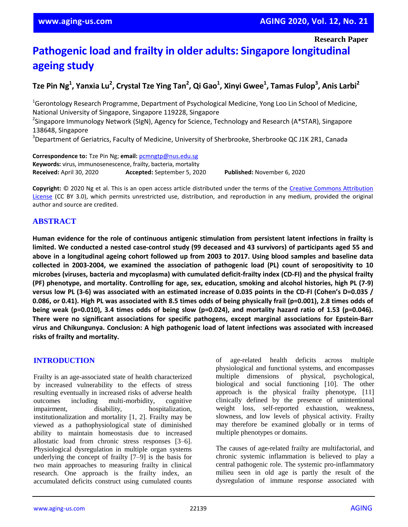**Research Paper**

# **Pathogenic load and frailty in older adults: Singapore longitudinal ageing study**

# **Tze Pin Ng<sup>1</sup> , Yanxia Lu<sup>2</sup> , Crystal Tze Ying Tan<sup>2</sup> , Qi Gao<sup>1</sup> , Xinyi Gwee<sup>1</sup> , Tamas Fulop<sup>3</sup> , Anis Larbi<sup>2</sup>**

<sup>1</sup>Gerontology Research Programme, Department of Psychological Medicine, Yong Loo Lin School of Medicine, National University of Singapore, Singapore 119228, Singapore

<sup>2</sup>Singapore Immunology Network (SIgN), Agency for Science, Technology and Research (A\*STAR), Singapore 138648, Singapore

<sup>3</sup>Department of Geriatrics, Faculty of Medicine, University of Sherbrooke, Sherbrooke QC J1K 2R1, Canada

**Correspondence to:** Tze Pin Ng; **email:** pcmngtp@nus.edu.sg **Keywords:** virus, immunosenescence, frailty, bacteria, mortality **Received:** April 30, 2020 **Accepted:** September 5, 2020 **Published:** November 6, 2020

**Copyright:** © 2020 Ng et al. This is an open access article distributed under the terms of the Creative Commons Attribution License (CC BY 3.0), which permits unrestricted use, distribution, and reproduction in any medium, provided the original author and source are credited.

# **ABSTRACT**

**Human evidence for the role of continuous antigenic stimulation from persistent latent infections in frailty is** limited. We conducted a nested case-control study (99 deceased and 43 survivors) of participants aged 55 and above in a longitudinal ageing cohort followed up from 2003 to 2017. Using blood samples and baseline data **collected in 2003-2004, we examined the association of pathogenic load (PL) count of seropositivity to 10 microbes (viruses, bacteria and mycoplasma) with cumulated deficit-frailty index (CD-FI) and the physical frailty (PF) phenotype, and mortality. Controlling for age, sex, education, smoking and alcohol histories, high PL (7-9)** versus low PL (3-6) was associated with an estimated increase of 0.035 points in the CD-FI (Cohen's D=0.035 / 0.086, or 0.41). High PL was associated with 8.5 times odds of being physically frail (p=0.001), 2.8 times odds of being weak (p=0.010), 3.4 times odds of being slow (p=0.024), and mortality hazard ratio of 1.53 (p=0.046). **There were no significant associations for specific pathogens, except marginal associations for Epstein-Barr virus and Chikungunya. Conclusion: A high pathogenic load of latent infections was associated with increased risks of frailty and mortality.**

### **INTRODUCTION**

Frailty is an age-associated state of health characterized by increased vulnerability to the effects of stress resulting eventually in increased risks of adverse health outcomes including multi-morbidity, cognitive impairment, disability, hospitalization, institutionalization and mortality [1, 2]. Frailty may be viewed as a pathophysiological state of diminished ability to maintain homeostasis due to increased allostatic load from chronic stress responses [3–6]. Physiological dysregulation in multiple organ systems underlying the concept of frailty [7–9] is the basis for two main approaches to measuring frailty in clinical research. One approach is the frailty index, an accumulated deficits construct using cumulated counts

of age-related health deficits across multiple physiological and functional systems, and encompasses multiple dimensions of physical, psychological, biological and social functioning [10]. The other approach is the physical frailty phenotype, [11] clinically defined by the presence of unintentional weight loss, self-reported exhaustion, weakness, slowness, and low levels of physical activity. Frailty may therefore be examined globally or in terms of multiple phenotypes or domains.

The causes of age-related frailty are multifactorial, and chronic systemic inflammation is believed to play a central pathogenic role. The systemic pro-inflammatory milieu seen in old age is partly the result of the dysregulation of immune response associated with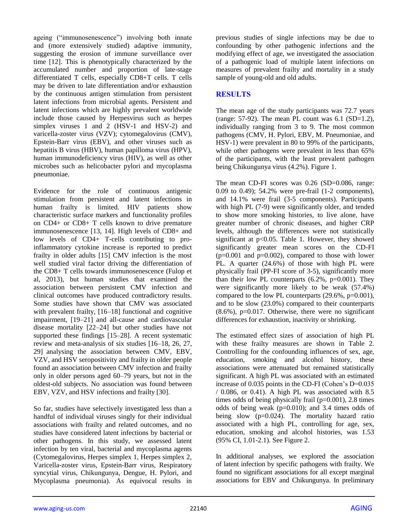ageing ("immunosenescence") involving both innate and (more extensively studied) adaptive immunity, suggesting the erosion of immune surveillance over time [12]. This is phenotypically characterized by the accumulated number and proportion of late-stage differentiated T cells, especially CD8+T cells. T cells may be driven to late differentiation and/or exhaustion by the continuous antigen stimulation from persistent latent infections from microbial agents. Persistent and latent infections which are highly prevalent worldwide include those caused by Herpesvirus such as herpes simplex viruses 1 and 2 (HSV-1 and HSV-2) and varicella-zoster virus (VZV); cytomegalovirus (CMV), Epstein-Barr virus (EBV), and other viruses such as hepatitis B virus (HBV), human papilloma virus (HPV), human immunodeficiency virus (HIV), as well as other microbes such as helicobacter pylori and mycoplasma pneumoniae.

Evidence for the role of continuous antigenic stimulation from persistent and latent infections in human frailty is limited. HIV patients show characteristic surface markers and functionality profiles on CD4+ or CD8+ T cells known to drive premature immunosenescence [13, 14]. High levels of CD8+ and low levels of CD4+ T-cells contributing to proinflammatory cytokine increase is reported to predict frailty in older adults [15] CMV infection is the most well studied viral factor driving the differentiation of the CD8+ T cells towards immunosenescence (Fulop et al, 2013), but human studies that examined the association between persistent CMV infection and clinical outcomes have produced contradictory results. Some studies have shown that CMV was associated with prevalent frailty, [16–18] functional and cognitive impairment, [19–21] and all-cause and cardiovascular disease mortality [22–24] but other studies have not supported these findings [15–28]. A recent systematic review and meta-analysis of six studies [16–18, 26, 27, 29] analysing the association between CMV, EBV, VZV, and HSV seropositivity and frailty in older people found an association between CMV infection and frailty only in older persons aged 60–79 years, but not in the oldest-old subjects. No association was found between EBV, VZV, and HSV infections and frailty [30].

So far, studies have selectively investigated less than a handful of individual viruses singly for their individual associations with frailty and related outcomes, and no studies have considered latent infections by bacterial or other pathogens. In this study, we assessed latent infection by ten viral, bacterial and mycoplasma agents (Cytomegalovirus, Herpes simplex 1, Herpes simplex 2, Varicella-zoster virus, Epstein-Barr virus, Respiratory syncytial virus, Chikungunya, Dengue, H. Pylori, and Mycoplasma pneumonia). As equivocal results in previous studies of single infections may be due to confounding by other pathogenic infections and the modifying effect of age, we investigated the association of a pathogenic load of multiple latent infections on measures of prevalent frailty and mortality in a study sample of young-old and old adults.

#### **RESULTS**

The mean age of the study participants was 72.7 years (range:  $57-92$ ). The mean PL count was  $6.1$  (SD=1.2), individually ranging from 3 to 9. The most common pathogens (CMV, H. Pylori, EBV, M. Pneumoniae, and HSV-1) were prevalent in 80 to 99% of the participants, while other pathogens were prevalent in less than 65% of the participants, with the least prevalent pathogen being Chikungunya virus (4.2%). Figure 1.

The mean CD-FI scores was 0.26 (SD=0.086, range: 0.09 to 0.49); 54.2% were pre-frail (1-2 components), and 14.1% were frail (3-5 components). Participants with high PL (7-9) were significantly older, and tended to show more smoking histories, to live alone, have greater number of chronic diseases, and higher CRP levels, although the differences were not statistically significant at  $p<0.05$ . Table 1. However, they showed significantly greater mean scores on the CD-FI  $(p=0.001$  and  $p=0.002$ ), compared to those with lower PL. A quarter (24.6%) of those with high PL were physically frail (PP-FI score of 3-5), significantly more than their low PL counterparts  $(6.2\% , p=0.001)$ . They were significantly more likely to be weak (57.4%) compared to the low PL counterparts (29.6%, p=0.001), and to be slow (23.0%) compared to their counterparts  $(8.6\%)$ , p=0.017. Otherwise, there were no significant differences for exhaustion, inactivity or shrinking.

The estimated effect sizes of association of high PL with these frailty measures are shown in Table 2. Controlling for the confounding influences of sex, age, education, smoking and alcohol history, these associations were attenuated but remained statistically significant. A high PL was associated with an estimated increase of 0.035 points in the CD-FI (Cohen's D=0.035 / 0.086, or 0.41). A high PL was associated with 8.5 times odds of being physically frail  $(p=0.001)$ , 2.8 times odds of being weak (p=0.010); and 3.4 times odds of being slow (p=0.024). The mortality hazard ratio associated with a high PL, controlling for age, sex, education, smoking and alcohol histories, was 1.53 (95% CI, 1.01-2.1). See Figure 2.

In additional analyses, we explored the association of latent infection by specific pathogens with frailty. We found no significant associations for all except marginal associations for EBV and Chikungunya. In preliminary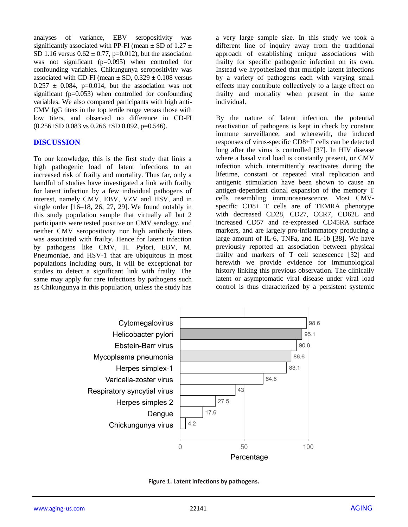analyses of variance, EBV seropositivity was significantly associated with PP-FI (mean  $\pm$  SD of 1.27  $\pm$ SD 1.16 versus  $0.62 \pm 0.77$ , p=0.012), but the association was not significant (p=0.095) when controlled for confounding variables. Chikungunya seropositivity was associated with CD-FI (mean  $\pm$  SD, 0.329  $\pm$  0.108 versus  $0.257 \pm 0.084$ , p=0.014, but the association was not significant (p=0.053) when controlled for confounding variables. We also compared participants with high anti-CMV IgG titers in the top tertile range versus those with low titers, and observed no difference in CD-FI  $(0.256 \pm SD\ 0.083 \text{ vs } 0.266 \pm SD\ 0.092, \text{ p=0.546}).$ 

#### **DISCUSSION**

To our knowledge, this is the first study that links a high pathogenic load of latent infections to an increased risk of frailty and mortality. Thus far, only a handful of studies have investigated a link with frailty for latent infection by a few individual pathogens of interest, namely CMV, EBV, VZV and HSV, and in single order  $[16–18, 26, 27, 29]$ . We found notably in this study population sample that virtually all but 2 participants were tested positive on CMV serology, and neither CMV seropositivity nor high antibody titers was associated with frailty. Hence for latent infection by pathogens like CMV, H. Pylori, EBV, M. Pneumoniae, and HSV-1 that are ubiquitous in most populations including ours, it will be exceptional for studies to detect a significant link with frailty. The same may apply for rare infections by pathogens such as Chikungunya in this population, unless the study has

a very large sample size. In this study we took a different line of inquiry away from the traditional approach of establishing unique associations with frailty for specific pathogenic infection on its own. Instead we hypothesized that multiple latent infections by a variety of pathogens each with varying small effects may contribute collectively to a large effect on frailty and mortality when present in the same individual.

By the nature of latent infection, the potential reactivation of pathogens is kept in check by constant immune surveillance, and wherewith, the induced responses of virus-specific CD8+T cells can be detected long after the virus is controlled [37]. In HIV disease where a basal viral load is constantly present, or CMV infection which intermittently reactivates during the lifetime, constant or repeated viral replication and antigenic stimulation have been shown to cause an antigen-dependent clonal expansion of the memory T cells resembling immunosenescence. Most CMVspecific CD8+ T cells are of TEMRA phenotype with decreased CD28, CD27, CCR7, CD62L and increased CD57 and re-expressed CD45RA surface markers, and are largely pro-inflammatory producing a large amount of IL-6, TNFa, and IL-1b [38]. We have previously reported an association between physical frailty and markers of T cell senescence [32] and herewith we provide evidence for immunological history linking this previous observation. The clinically latent or asymptomatic viral disease under viral load control is thus characterized by a persistent systemic



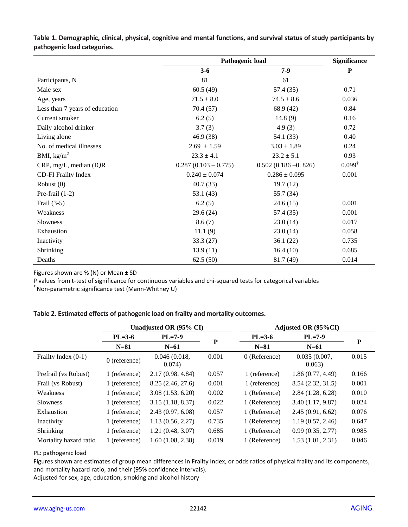|                                | Pathogenic load        | <b>Significance</b>    |                   |
|--------------------------------|------------------------|------------------------|-------------------|
|                                | $3 - 6$                | $7-9$                  | $\mathbf P$       |
| Participants, N                | 81                     | 61                     |                   |
| Male sex                       | 60.5(49)               | 57.4 (35)              | 0.71              |
| Age, years                     | $71.5 \pm 8.0$         | $74.5 \pm 8.6$         | 0.036             |
| Less than 7 years of education | 70.4(57)               | 68.9 (42)              | 0.84              |
| Current smoker                 | 6.2(5)                 | 14.8(9)                | 0.16              |
| Daily alcohol drinker          | 3.7(3)                 | 4.9(3)                 | 0.72              |
| Living alone                   | 46.9(38)               | 54.1 (33)              | 0.40              |
| No. of medical illnesses       | $2.69 \pm 1.59$        | $3.03 \pm 1.89$        | 0.24              |
| BMI, $\text{kg/m}^2$           | $23.3 \pm 4.1$         | $23.2 \pm 5.1$         | 0.93              |
| CRP, mg/L, median (IQR         | $0.287(0.103 - 0.775)$ | $0.502(0.186 - 0.826)$ | $0.099^{\dagger}$ |
| <b>CD-FI Frailty Index</b>     | $0.240 \pm 0.074$      | $0.286 \pm 0.095$      | 0.001             |
| Robust $(0)$                   | 40.7(33)               | 19.7(12)               |                   |
| Pre-frail $(1-2)$              | 53.1(43)               | 55.7 (34)              |                   |
| Frail $(3-5)$                  | 6.2(5)                 | 24.6(15)               | 0.001             |
| Weakness                       | 29.6(24)               | 57.4 (35)              | 0.001             |
| <b>Slowness</b>                | 8.6(7)                 | 23.0(14)               | 0.017             |
| Exhaustion                     | 11.1(9)                | 23.0(14)               | 0.058             |
| Inactivity                     | 33.3(27)               | 36.1(22)               | 0.735             |
| Shrinking                      | 13.9(11)               | 16.4(10)               | 0.685             |
| Deaths                         | 62.5(50)               | 81.7 (49)              | 0.014             |

**Table 1. Demographic, clinical, physical, cognitive and mental functions, and survival status of study participants by pathogenic load categories.**

Figures shown are  $% (N)$  or Mean  $\pm$  SD

P values from t-test of significance for continuous variables and chi-squared tests for categorical variables

† Non-parametric significance test (Mann-Whitney U)

|  |  |  | Table 2. Estimated effects of pathogenic load on frailty and mortality outcomes. |
|--|--|--|----------------------------------------------------------------------------------|
|--|--|--|----------------------------------------------------------------------------------|

|                        | Unadjusted OR (95% CI) |                        |       | Adjusted OR (95%CI) |                        |       |  |
|------------------------|------------------------|------------------------|-------|---------------------|------------------------|-------|--|
|                        | $PL=3-6$               | $PL=7-9$               | P     | $PL=3-6$            | $PL=7-9$               |       |  |
|                        | $N=81$                 | $N=61$                 |       | $N=81$              | $N=61$                 | P     |  |
| Frailty Index $(0-1)$  | $0$ (reference)        | 0.046(0.018,<br>0.074) | 0.001 | $0$ (Reference)     | 0.035(0.007,<br>0.063) | 0.015 |  |
| Prefrail (vs Robust)   | 1 (reference)          | 2.17(0.98, 4.84)       | 0.057 | 1 (reference)       | 1.86(0.77, 4.49)       | 0.166 |  |
| Frail (vs Robust)      | 1 (reference)          | 8.25(2.46, 27.6)       | 0.001 | 1 (reference)       | 8.54(2.32, 31.5)       | 0.001 |  |
| Weakness               | 1 (reference)          | 3.08(1.53, 6.20)       | 0.002 | 1 (Reference)       | 2.84(1.28, 6.28)       | 0.010 |  |
| <b>Slowness</b>        | 1 (reference)          | 3.15(1.18, 8.37)       | 0.022 | 1 (Reference)       | 3.40(1.17, 9.87)       | 0.024 |  |
| Exhaustion             | 1 (reference)          | 2.43(0.97, 6.08)       | 0.057 | 1 (Reference)       | 2.45(0.91, 6.62)       | 0.076 |  |
| Inactivity             | 1 (reference)          | 1.13(0.56, 2.27)       | 0.735 | 1 (Reference)       | 1.19(0.57, 2.46)       | 0.647 |  |
| Shrinking              | 1 (reference)          | 1.21(0.48, 3.07)       | 0.685 | 1 (Reference)       | 0.99(0.35, 2.77)       | 0.985 |  |
| Mortality hazard ratio | 1 (reference)          | 1.60(1.08, 2.38)       | 0.019 | 1 (Reference)       | 1.53(1.01, 2.31)       | 0.046 |  |

#### PL: pathogenic load

Figures shown are estimates of group mean differences in Frailty Index, or odds ratios of physical frailty and its components, and mortality hazard ratio, and their (95% confidence intervals).

Adjusted for sex, age, education, smoking and alcohol history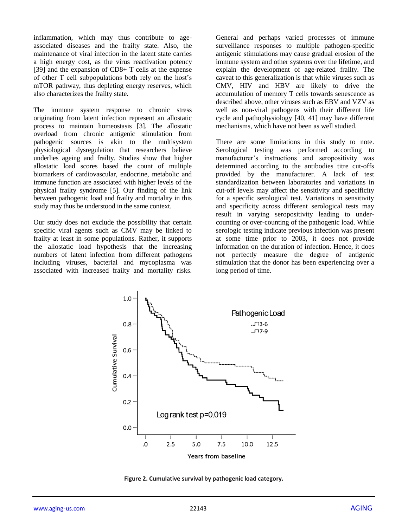inflammation, which may thus contribute to ageassociated diseases and the frailty state. Also, the maintenance of viral infection in the latent state carries a high energy cost, as the virus reactivation potency [39] and the expansion of CD8+ T cells at the expense of other T cell subpopulations both rely on the host's mTOR pathway, thus depleting energy reserves, which also characterizes the frailty state.

The immune system response to chronic stress originating from latent infection represent an allostatic process to maintain homeostasis [3]. The allostatic overload from chronic antigenic stimulation from pathogenic sources is akin to the multisystem physiological dysregulation that researchers believe underlies ageing and frailty. Studies show that higher allostatic load scores based the count of multiple biomarkers of cardiovascular, endocrine, metabolic and immune function are associated with higher levels of the physical frailty syndrome [5]. Our finding of the link between pathogenic load and frailty and mortality in this study may thus be understood in the same context.

Our study does not exclude the possibility that certain specific viral agents such as CMV may be linked to frailty at least in some populations. Rather, it supports the allostatic load hypothesis that the increasing numbers of latent infection from different pathogens including viruses, bacterial and mycoplasma was associated with increased frailty and mortality risks.

General and perhaps varied processes of immune surveillance responses to multiple pathogen-specific antigenic stimulations may cause gradual erosion of the immune system and other systems over the lifetime, and explain the development of age-related frailty. The caveat to this generalization is that while viruses such as CMV, HIV and HBV are likely to drive the accumulation of memory T cells towards senescence as described above, other viruses such as EBV and VZV as well as non-viral pathogens with their different life cycle and pathophysiology [40, 41] may have different mechanisms, which have not been as well studied.

There are some limitations in this study to note. Serological testing was performed according to manufacturer's instructions and seropositivity was determined according to the antibodies titre cut-offs provided by the manufacturer. A lack of test standardization between laboratories and variations in cut-off levels may affect the sensitivity and specificity for a specific serological test. Variations in sensitivity and specificity across different serological tests may result in varying seropositivity leading to undercounting or over-counting of the pathogenic load. While serologic testing indicate previous infection was present at some time prior to 2003, it does not provide information on the duration of infection. Hence, it does not perfectly measure the degree of antigenic stimulation that the donor has been experiencing over a long period of time.



**Figure 2. Cumulative survival by pathogenic load category.**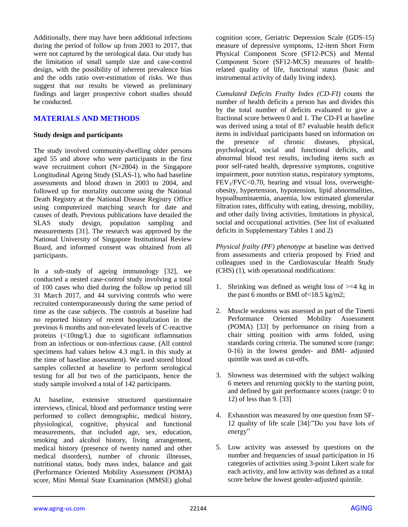Additionally, there may have been additional infections during the period of follow up from 2003 to 2017, that were not captured by the serological data. Our study has the limitation of small sample size and case-control design, with the possibility of inherent prevalence bias and the odds ratio over-estimation of risks. We thus suggest that our results be viewed as preliminary findings and larger prospective cohort studies should be conducted.

## **MATERIALS AND METHODS**

#### **Study design and participants**

The study involved community-dwelling older persons aged 55 and above who were participants in the first wave recruitment cohort (N=2804) in the Singapore Longitudinal Ageing Study (SLAS-1), who had baseline assessments and blood drawn in 2003 to 2004, and followed up for mortality outcome using the National Death Registry at the National Disease Registry Office using computerized matching search for date and causes of death. Previous publications have detailed the SLAS study design, population sampling and measurements [31]. The research was approved by the National University of Singapore Institutional Review Board, and informed consent was obtained from all participants.

In a sub-study of ageing immunology [32], we conducted a nested case-control study involving a total of 100 cases who died during the follow up period till 31 March 2017, and 44 surviving controls who were recruited contemporaneously during the same period of time as the case subjects. The controls at baseline had no reported history of recent hospitalization in the previous 6 months and non-elevated levels of C-reactive proteins (<10mg/L) due to significant inflammation from an infectious or non-infectious cause. (All control specimens had values below 4.3 mg/L in this study at the time of baseline assessment). We used stored blood samples collected at baseline to perform serological testing for all but two of the participants, hence the study sample involved a total of 142 participants.

At baseline, extensive structured questionnaire interviews, clinical, blood and performance testing were performed to collect demographic, medical history, physiological, cognitive, physical and functional measurements, that included age, sex, education, smoking and alcohol history, living arrangement, medical history (presence of twenty named and other medical disorders), number of chronic illnesses, nutritional status, body mass index, balance and gait (Performance Oriented Mobility Assessment (POMA) score, Mini Mental State Examination (MMSE) global cognition score, Geriatric Depression Scale (GDS-15) measure of depressive symptoms, 12-item Short Form Physical Component Score (SF12-PCS) and Mental Component Score (SF12-MCS) measures of healthrelated quality of life, functional status (basic and instrumental activity of daily living index).

*Cumulated Deficits Frailty Index (CD-FI)* counts the number of health deficits a person has and divides this by the total number of deficits evaluated to give a fractional score between 0 and 1. The CD-FI at baseline was derived using a total of 87 evaluable health deficit items in individual participants based on information on the presence of chronic diseases, physical, psychological, social and functional deficits, and abnormal blood test results, including items such as poor self-rated health, depressive symptoms, cognitive impairment, poor nutrition status, respiratory symptoms,  $FEV<sub>1</sub>/FVC<0.70$ , hearing and visual loss, overweightobesity, hypertension, hypotension, lipid abnormalities, hypoalbuminaemia, anaemia, low estimated glomerular filtration rates, difficulty with eating, dressing, mobility, and other daily living activities, limitations in physical, social and occupational activities. (See list of evaluated deficits in Supplementary Tables 1 and 2)

*Physical frailty (PF) phenotype* at baseline was derived from assessments and criteria proposed by Fried and colleagues used in the Cardiovascular Health Study (CHS) (1), with operational modifications:

- 1. Shrinking was defined as weight loss of  $\geq 4$  kg in the past 6 months or BMI of<18.5 kg/m2;
- 2. Muscle weakness was assessed as part of the Tinetti Performance Oriented Mobility Assessment (POMA) [33] by performance on rising from a chair sitting position with arms folded, using standards coring criteria. The summed score (range: 0-16) in the lowest gender- and BMI- adjusted quintile was used as cut-offs.
- 3. Slowness was determined with the subject walking 6 meters and returning quickly to the starting point, and defined by gait performance scores (range: 0 to 12) of less than 9. [33]
- 4. Exhaustion was measured by one question from SF-12 quality of life scale [34]:"Do you have lots of energy"
- 5. Low activity was assessed by questions on the number and frequencies of usual participation in 16 categories of activities using 3-point Likert scale for each activity, and low activity was defined as a total score below the lowest gender-adjusted quintile.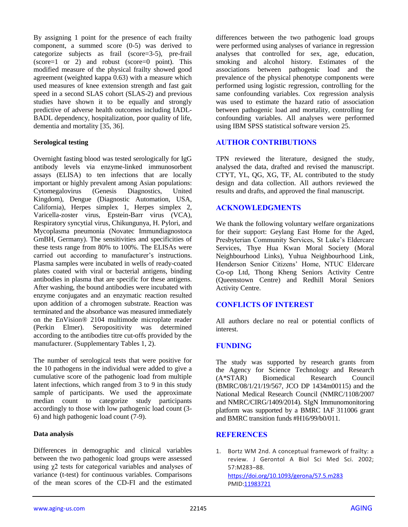By assigning 1 point for the presence of each frailty component, a summed score (0-5) was derived to categorize subjects as frail (score=3-5), pre-frail (score=1 or 2) and robust (score=0 point). This modified measure of the physical frailty showed good agreement (weighted kappa 0.63) with a measure which used measures of knee extension strength and fast gait speed in a second SLAS cohort (SLAS-2) and previous studies have shown it to be equally and strongly predictive of adverse health outcomes including IADL-BADL dependency, hospitalization, poor quality of life, dementia and mortality [35, 36].

#### **Serological testing**

Overnight fasting blood was tested serologically for IgG antibody levels via enzyme-linked immunosorbent assays (ELISA) to ten infections that are locally important or highly prevalent among Asian populations:<br>Cytomegalovirus (Genesis Diagnostics, United Cytomegalovirus (Genesis Diagnostics, United Kingdom), Dengue (Diagnostic Automation, USA, California), Herpes simplex 1, Herpes simplex 2, Varicella-zoster virus, Epstein-Barr virus (VCA), Respiratory syncytial virus, Chikungunya, H. Pylori, and Mycoplasma pneumonia (Novatec Immundiagnostoca GmBH, Germany). The sensitivities and specificities of these tests range from 80% to 100%. The ELISAs were carried out according to manufacturer's instructions. Plasma samples were incubated in wells of ready-coated plates coated with viral or bacterial antigens, binding antibodies in plasma that are specific for these antigens. After washing, the bound antibodies were incubated with enzyme conjugates and an enzymatic reaction resulted upon addition of a chromogen substrate. Reaction was terminated and the absorbance was measured immediately on the EnVision® 2104 multimode microplate reader (Perkin Elmer). Seropositivity was determined according to the antibodies titre cut-offs provided by the manufacturer. (Supplementary Tables 1, 2).

The number of serological tests that were positive for the 10 pathogens in the individual were added to give a cumulative score of the pathogenic load from multiple latent infections, which ranged from 3 to 9 in this study sample of participants. We used the approximate median count to categorize study participants accordingly to those with low pathogenic load count (3- 6) and high pathogenic load count (7-9).

#### **Data analysis**

Differences in demographic and clinical variables between the two pathogenic load groups were assessed using χ2 tests for categorical variables and analyses of variance (t-test) for continuous variables. Comparisons of the mean scores of the CD-FI and the estimated differences between the two pathogenic load groups were performed using analyses of variance in regression analyses that controlled for sex, age, education, smoking and alcohol history. Estimates of the associations between pathogenic load and the prevalence of the physical phenotype components were performed using logistic regression, controlling for the same confounding variables. Cox regression analysis was used to estimate the hazard ratio of association between pathogenic load and mortality, controlling for confounding variables. All analyses were performed using IBM SPSS statistical software version 25.

# **AUTHOR CONTRIBUTIONS**

TPN reviewed the literature, designed the study, analysed the data, drafted and revised the manuscript. CTYT, YL, QG, XG, TF, AL contributed to the study design and data collection. All authors reviewed the results and drafts, and approved the final manuscript.

#### **ACKNOWLEDGMENTS**

We thank the following voluntary welfare organizations for their support: Geylang East Home for the Aged, Presbyterian Community Services, St Luke's Eldercare Services, Thye Hua Kwan Moral Society (Moral Neighbourhood Links), Yuhua Neighbourhood Link, Henderson Senior Citizens' Home, NTUC Eldercare Co-op Ltd, Thong Kheng Seniors Activity Centre (Queenstown Centre) and Redhill Moral Seniors Activity Centre.

#### **CONFLICTS OF INTEREST**

All authors declare no real or potential conflicts of interest.

#### **FUNDING**

The study was supported by research grants from the Agency for Science Technology and Research (A\*STAR) Biomedical Research Council (BMRC/08/1/21/19/567, JCO DP 1434m00115) and the National Medical Research Council (NMRC/1108/2007 and NMRC/CIRG/1409/2014). SIgN Immunomonitoring platform was supported by a BMRC IAF 311006 grant and BMRC transition funds #H16/99/b0/011.

#### **REFERENCES**

1. Bortz WM 2nd. A conceptual framework of frailty: a review. J Gerontol A Biol Sci Med Sci. 2002; 57:M283–88. <https://doi.org/10.1093/gerona/57.5.m283> PMI[D:11983721](https://pubmed.ncbi.nlm.nih.gov/11983721)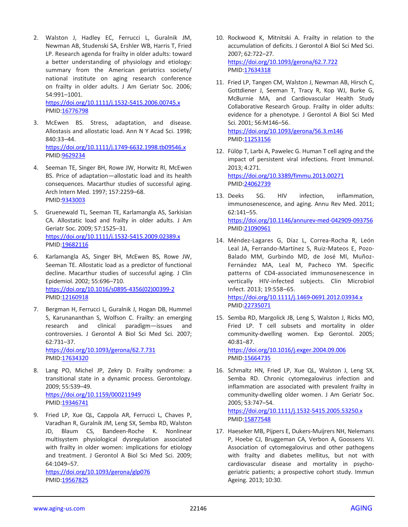2. Walston J, Hadley EC, Ferrucci L, Guralnik JM, Newman AB, Studenski SA, Ershler WB, Harris T, Fried LP. Research agenda for frailty in older adults: toward a better understanding of physiology and etiology: summary from the American geriatrics society/ national institute on aging research conference on frailty in older adults. J Am Geriatr Soc. 2006; 54:991–1001.

<https://doi.org/10.1111/j.1532-5415.2006.00745.x> PMID[:16776798](https://pubmed.ncbi.nlm.nih.gov/16776798)

- 3. McEwen BS. Stress, adaptation, and disease. Allostasis and allostatic load. Ann N Y Acad Sci. 1998; 840:33–44. <https://doi.org/10.1111/j.1749-6632.1998.tb09546.x> PMID[:9629234](https://pubmed.ncbi.nlm.nih.gov/9629234)
- 4. Seeman TE, Singer BH, Rowe JW, Horwitz RI, McEwen BS. Price of adaptation—allostatic load and its health consequences. Macarthur studies of successful aging. Arch Intern Med. 1997; 157:2259–68. PMID[:9343003](https://pubmed.ncbi.nlm.nih.gov/9343003)
- 5. Gruenewald TL, Seeman TE, Karlamangla AS, Sarkisian CA. Allostatic load and frailty in older adults. J Am Geriatr Soc. 2009; 57:1525–31. <https://doi.org/10.1111/j.1532-5415.2009.02389.x> PMID[:19682116](https://pubmed.ncbi.nlm.nih.gov/19682116)
- 6. Karlamangla AS, Singer BH, McEwen BS, Rowe JW, Seeman TE. Allostatic load as a predictor of functional decline. Macarthur studies of successful aging. J Clin Epidemiol. 2002; 55:696–710. [https://doi.org/10.1016/s0895-4356\(02\)00399-2](https://doi.org/10.1016/s0895-4356(02)00399-2) PMID[:12160918](https://pubmed.ncbi.nlm.nih.gov/12160918)
- 7. Bergman H, Ferrucci L, Guralnik J, Hogan DB, Hummel S, Karunananthan S, Wolfson C. Frailty: an emerging research and clinical paradigm—issues and controversies. J Gerontol A Biol Sci Med Sci. 2007; 62:731–37. <https://doi.org/10.1093/gerona/62.7.731> PMID[:17634320](https://pubmed.ncbi.nlm.nih.gov/17634320)
- 8. Lang PO, Michel JP, Zekry D. Frailty syndrome: a transitional state in a dynamic process. Gerontology. 2009; 55:539–49. <https://doi.org/10.1159/000211949> PMID[:19346741](https://pubmed.ncbi.nlm.nih.gov/19346741)
- 9. Fried LP, Xue QL, Cappola AR, Ferrucci L, Chaves P, Varadhan R, Guralnik JM, Leng SX, Semba RD, Walston JD, Blaum CS, Bandeen-Roche K. Nonlinear multisystem physiological dysregulation associated with frailty in older women: implications for etiology and treatment. J Gerontol A Biol Sci Med Sci. 2009; 64:1049–57.

<https://doi.org/10.1093/gerona/glp076> PMID[:19567825](https://pubmed.ncbi.nlm.nih.gov/19567825)

- 10. Rockwood K, Mitnitski A. Frailty in relation to the accumulation of deficits. J Gerontol A Biol Sci Med Sci. 2007; 62:722–27. <https://doi.org/10.1093/gerona/62.7.722> PMI[D:17634318](https://pubmed.ncbi.nlm.nih.gov/17634318)
- 11. Fried LP, Tangen CM, Walston J, Newman AB, Hirsch C, Gottdiener J, Seeman T, Tracy R, Kop WJ, Burke G, McBurnie MA, and Cardiovascular Health Study Collaborative Research Group. Frailty in older adults: evidence for a phenotype. J Gerontol A Biol Sci Med Sci. 2001; 56:M146–56. <https://doi.org/10.1093/gerona/56.3.m146> PMI[D:11253156](https://pubmed.ncbi.nlm.nih.gov/11253156)
- 12. Fülöp T, Larbi A, Pawelec G. Human T cell aging and the impact of persistent viral infections. Front Immunol. 2013; 4:271. <https://doi.org/10.3389/fimmu.2013.00271> PMI[D:24062739](https://pubmed.ncbi.nlm.nih.gov/24062739)
- 13. Deeks SG. HIV infection, inflammation, immunosenescence, and aging. Annu Rev Med. 2011; 62:141–55. <https://doi.org/10.1146/annurev-med-042909-093756> PMI[D:21090961](https://pubmed.ncbi.nlm.nih.gov/21090961)
- 14. Méndez-Lagares G, Díaz L, Correa-Rocha R, León Leal JA, Ferrando-Martínez S, Ruiz-Mateos E, Pozo-Balado MM, Gurbindo MD, de José MI, Muñoz-Fernández MA, Leal M, Pacheco YM. Specific patterns of CD4-associated immunosenescence in vertically HIV-infected subjects. Clin Microbiol Infect. 2013; 19:558–65. <https://doi.org/10.1111/j.1469-0691.2012.03934.x> PMI[D:22735071](https://pubmed.ncbi.nlm.nih.gov/22735071)
- 15. Semba RD, Margolick JB, Leng S, Walston J, Ricks MO, Fried LP. T cell subsets and mortality in older community-dwelling women. Exp Gerontol. 2005; 40:81–87. <https://doi.org/10.1016/j.exger.2004.09.006>

PMI[D:15664735](https://pubmed.ncbi.nlm.nih.gov/15664735)

16. Schmaltz HN, Fried LP, Xue QL, Walston J, Leng SX, Semba RD. Chronic cytomegalovirus infection and inflammation are associated with prevalent frailty in community-dwelling older women. J Am Geriatr Soc. 2005; 53:747–54.

<https://doi.org/10.1111/j.1532-5415.2005.53250.x> PMI[D:15877548](https://pubmed.ncbi.nlm.nih.gov/15877548)

17. Haeseker MB, Pijpers E, Dukers-Muijrers NH, Nelemans P, Hoebe CJ, Bruggeman CA, Verbon A, Goossens VJ. Association of cytomegalovirus and other pathogens with frailty and diabetes mellitus, but not with cardiovascular disease and mortality in psychogeriatric patients; a prospective cohort study. Immun Ageing. 2013; 10:30.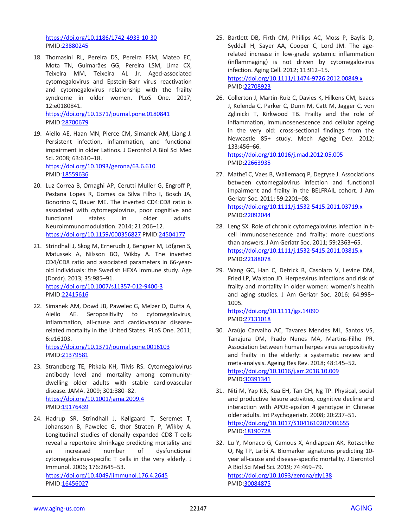<https://doi.org/10.1186/1742-4933-10-30> PMID[:23880245](https://pubmed.ncbi.nlm.nih.gov/23880245)

- 18. Thomasini RL, Pereira DS, Pereira FSM, Mateo EC, Mota TN, Guimarães GG, Pereira LSM, Lima CX, Teixeira MM, Teixeira AL Jr. Aged-associated cytomegalovirus and Epstein-Barr virus reactivation and cytomegalovirus relationship with the frailty syndrome in older women. PLoS One. 2017; 12:e0180841. <https://doi.org/10.1371/journal.pone.0180841> PMID[:28700679](https://pubmed.ncbi.nlm.nih.gov/28700679)
- 19. Aiello AE, Haan MN, Pierce CM, Simanek AM, Liang J. Persistent infection, inflammation, and functional impairment in older Latinos. J Gerontol A Biol Sci Med Sci. 2008; 63:610–18. <https://doi.org/10.1093/gerona/63.6.610> PMID[:18559636](https://pubmed.ncbi.nlm.nih.gov/18559636)
- 20. Luz Correa B, Ornaghi AP, Cerutti Muller G, Engroff P, Pestana Lopes R, Gomes da Silva Filho I, Bosch JA, Bonorino C, Bauer ME. The inverted CD4:CD8 ratio is associated with cytomegalovirus, poor cognitive and functional states in older adults. Neuroimmunomodulation. 2014; 21:206–12. <https://doi.org/10.1159/000356827> PMID[:24504177](https://pubmed.ncbi.nlm.nih.gov/24504177)
- 21. Strindhall J, Skog M, Ernerudh J, Bengner M, Löfgren S, Matussek A, Nilsson BO, Wikby A. The inverted CD4/CD8 ratio and associated parameters in 66-yearold individuals: the Swedish HEXA immune study. Age (Dordr). 2013; 35:985–91. <https://doi.org/10.1007/s11357-012-9400-3> PMID[:22415616](https://pubmed.ncbi.nlm.nih.gov/22415616)
- 22. Simanek AM, Dowd JB, Pawelec G, Melzer D, Dutta A, Aiello AE. Seropositivity to cytomegalovirus, inflammation, all-cause and cardiovascular diseaserelated mortality in the United States. PLoS One. 2011; 6:e16103.

<https://doi.org/10.1371/journal.pone.0016103> PMID[:21379581](https://pubmed.ncbi.nlm.nih.gov/21379581)

- 23. Strandberg TE, Pitkala KH, Tilvis RS. Cytomegalovirus antibody level and mortality among communitydwelling older adults with stable cardiovascular disease. JAMA. 2009; 301:380–82. <https://doi.org/10.1001/jama.2009.4> PMID[:19176439](https://pubmed.ncbi.nlm.nih.gov/19176439)
- 24. Hadrup SR, Strindhall J, Køllgaard T, Seremet T, Johansson B, Pawelec G, thor Straten P, Wikby A. Longitudinal studies of clonally expanded CD8 T cells reveal a repertoire shrinkage predicting mortality and an increased number of dysfunctional cytomegalovirus-specific T cells in the very elderly. J Immunol. 2006; 176:2645–53.

<https://doi.org/10.4049/jimmunol.176.4.2645> PMID[:16456027](https://pubmed.ncbi.nlm.nih.gov/16456027)

- 25. Bartlett DB, Firth CM, Phillips AC, Moss P, Baylis D, Syddall H, Sayer AA, Cooper C, Lord JM. The agerelated increase in low-grade systemic inflammation (inflammaging) is not driven by cytomegalovirus infection. Aging Cell. 2012; 11:912–15. <https://doi.org/10.1111/j.1474-9726.2012.00849.x> PMI[D:22708923](https://pubmed.ncbi.nlm.nih.gov/22708923)
- 26. Collerton J, Martin-Ruiz C, Davies K, Hilkens CM, Isaacs J, Kolenda C, Parker C, Dunn M, Catt M, Jagger C, von Zglinicki T, Kirkwood TB. Frailty and the role of inflammation, immunosenescence and cellular ageing in the very old: cross-sectional findings from the Newcastle 85+ study. Mech Ageing Dev. 2012; 133:456–66. <https://doi.org/10.1016/j.mad.2012.05.005>

PMI[D:22663935](https://pubmed.ncbi.nlm.nih.gov/22663935)

- 27. Matheï C, Vaes B, Wallemacq P, Degryse J. Associations between cytomegalovirus infection and functional impairment and frailty in the BELFRAIL cohort. J Am Geriatr Soc. 2011; 59:2201–08. <https://doi.org/10.1111/j.1532-5415.2011.03719.x> PMI[D:22092044](https://pubmed.ncbi.nlm.nih.gov/22092044)
- 28. Leng SX. Role of chronic cytomegalovirus infection in tcell immunosenescence and frailty: more questions than answers. J Am Geriatr Soc. 2011; 59:2363–65. <https://doi.org/10.1111/j.1532-5415.2011.03815.x> PMI[D:22188078](https://pubmed.ncbi.nlm.nih.gov/22188078)
- 29. Wang GC, Han C, Detrick B, Casolaro V, Levine DM, Fried LP, Walston JD. Herpesvirus infections and risk of frailty and mortality in older women: women's health and aging studies. J Am Geriatr Soc. 2016; 64:998– 1005.

<https://doi.org/10.1111/jgs.14090> PMI[D:27131018](https://pubmed.ncbi.nlm.nih.gov/27131018)

- 30. Araújo Carvalho AC, Tavares Mendes ML, Santos VS, Tanajura DM, Prado Nunes MA, Martins-Filho PR. Association between human herpes virus seropositivity and frailty in the elderly: a systematic review and meta-analysis. Ageing Res Rev. 2018; 48:145–52. <https://doi.org/10.1016/j.arr.2018.10.009> PMI[D:30391341](https://pubmed.ncbi.nlm.nih.gov/30391341)
- 31. Niti M, Yap KB, Kua EH, Tan CH, Ng TP. Physical, social and productive leisure activities, cognitive decline and interaction with APOE-epsilon 4 genotype in Chinese older adults. Int Psychogeriatr. 2008; 20:237–51. <https://doi.org/10.1017/S1041610207006655> PMI[D:18190728](https://pubmed.ncbi.nlm.nih.gov/18190728)
- 32. Lu Y, Monaco G, Camous X, Andiappan AK, Rotzschke O, Ng TP, Larbi A. Biomarker signatures predicting 10 year all-cause and disease-specific mortality. J Gerontol A Biol Sci Med Sci. 2019; 74:469–79. <https://doi.org/10.1093/gerona/gly138> PMI[D:30084875](https://pubmed.ncbi.nlm.nih.gov/30084875)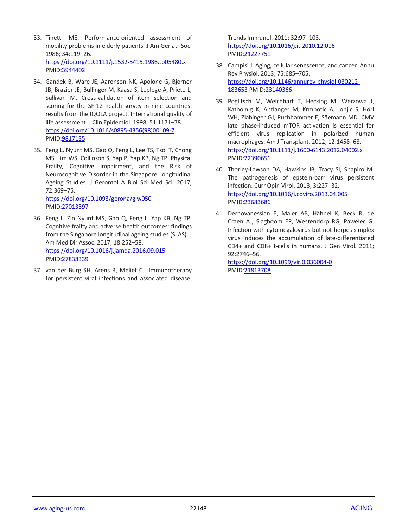- 33. Tinetti ME. Performance-oriented assessment of mobility problems in elderly patients. J Am Geriatr Soc. 1986; 34:119–26. <https://doi.org/10.1111/j.1532-5415.1986.tb05480.x> PMID[:3944402](https://pubmed.ncbi.nlm.nih.gov/3944402)
- 34. Gandek B, Ware JE, Aaronson NK, Apolone G, Bjorner JB, Brazier JE, Bullinger M, Kaasa S, Leplege A, Prieto L, Sullivan M. Cross-validation of item selection and scoring for the SF-12 health survey in nine countries: results from the IQOLA project. International quality of life assessment. J Clin Epidemiol. 1998; 51:1171–78. [https://doi.org/10.1016/s0895-4356\(98\)00109-7](https://doi.org/10.1016/s0895-4356(98)00109-7) PMID[:9817135](https://pubmed.ncbi.nlm.nih.gov/9817135)
- 35. Feng L, Nyunt MS, Gao Q, Feng L, Lee TS, Tsoi T, Chong MS, Lim WS, Collinson S, Yap P, Yap KB, Ng TP. Physical Frailty, Cognitive Impairment, and the Risk of Neurocognitive Disorder in the Singapore Longitudinal Ageing Studies. J Gerontol A Biol Sci Med Sci. 2017; 72:369–75.

<https://doi.org/10.1093/gerona/glw050> PMID[:27013397](https://pubmed.ncbi.nlm.nih.gov/27013397)

- 36. Feng L, Zin Nyunt MS, Gao Q, Feng L, Yap KB, Ng TP. Cognitive frailty and adverse health outcomes: findings from the Singapore longitudinal ageing studies (SLAS). J Am Med Dir Assoc. 2017; 18:252–58. <https://doi.org/10.1016/j.jamda.2016.09.015> PMID[:27838339](https://pubmed.ncbi.nlm.nih.gov/27838339)
- 37. van der Burg SH, Arens R, Melief CJ. Immunotherapy for persistent viral infections and associated disease.

Trends Immunol. 2011; 32:97–103. <https://doi.org/10.1016/j.it.2010.12.006> PMI[D:21227751](https://pubmed.ncbi.nlm.nih.gov/21227751)

- 38. Campisi J. Aging, cellular senescence, and cancer. Annu Rev Physiol. 2013; 75:685–705. [https://doi.org/10.1146/annurev-physiol-030212-](https://doi.org/10.1146/annurev-physiol-030212-183653) [183653](https://doi.org/10.1146/annurev-physiol-030212-183653) PMI[D:23140366](https://pubmed.ncbi.nlm.nih.gov/23140366)
- 39. Poglitsch M, Weichhart T, Hecking M, Werzowa J, Katholnig K, Antlanger M, Krmpotic A, Jonjic S, Hörl WH, Zlabinger GJ, Puchhammer E, Säemann MD. CMV late phase-induced mTOR activation is essential for efficient virus replication in polarized human macrophages. Am J Transplant. 2012; 12:1458–68. <https://doi.org/10.1111/j.1600-6143.2012.04002.x> PMI[D:22390651](https://pubmed.ncbi.nlm.nih.gov/22390651)
- 40. Thorley-Lawson DA, Hawkins JB, Tracy SI, Shapiro M. The pathogenesis of epstein-barr virus persistent infection. Curr Opin Virol. 2013; 3:227–32. <https://doi.org/10.1016/j.coviro.2013.04.005> PMI[D:23683686](https://pubmed.ncbi.nlm.nih.gov/23683686)
- 41. Derhovanessian E, Maier AB, Hähnel K, Beck R, de Craen AJ, Slagboom EP, Westendorp RG, Pawelec G. Infection with cytomegalovirus but not herpes simplex virus induces the accumulation of late-differentiated CD4+ and CD8+ t-cells in humans. J Gen Virol. 2011; 92:2746–56.

<https://doi.org/10.1099/vir.0.036004-0> PMI[D:21813708](https://pubmed.ncbi.nlm.nih.gov/21813708)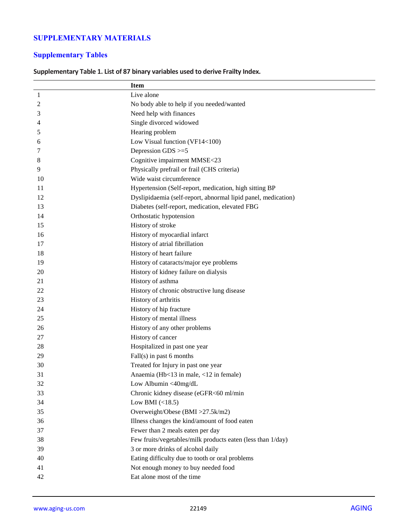# **SUPPLEMENTARY MATERIALS**

# **Supplementary Tables**

# **Supplementary Table 1. List of 87 binary variables used to derive Frailty Index.**

|                | <b>Item</b>                                                   |
|----------------|---------------------------------------------------------------|
| $\mathbf{1}$   | Live alone                                                    |
| $\overline{c}$ | No body able to help if you needed/wanted                     |
| 3              | Need help with finances                                       |
| 4              | Single divorced widowed                                       |
| 5              | Hearing problem                                               |
| 6              | Low Visual function (VF14<100)                                |
| 7              | Depression GDS >=5                                            |
| 8              | Cognitive impairment MMSE<23                                  |
| 9              | Physically prefrail or frail (CHS criteria)                   |
| 10             | Wide waist circumference                                      |
| 11             | Hypertension (Self-report, medication, high sitting BP        |
| 12             | Dyslipidaemia (self-report, abnormal lipid panel, medication) |
| 13             | Diabetes (self-report, medication, elevated FBG               |
| 14             | Orthostatic hypotension                                       |
| 15             | History of stroke                                             |
| 16             | History of myocardial infarct                                 |
| 17             | History of atrial fibrillation                                |
| 18             | History of heart failure                                      |
| 19             | History of cataracts/major eye problems                       |
| 20             | History of kidney failure on dialysis                         |
| 21             | History of asthma                                             |
| 22             | History of chronic obstructive lung disease                   |
| 23             | History of arthritis                                          |
| 24             | History of hip fracture                                       |
| 25             | History of mental illness                                     |
| 26             | History of any other problems                                 |
| 27             | History of cancer                                             |
| 28             | Hospitalized in past one year                                 |
| 29             | $Fall(s)$ in past 6 months                                    |
| 30             | Treated for Injury in past one year                           |
| 31             | Anaemia (Hb<13 in male, <12 in female)                        |
| 32             | Low Albumin <40mg/dL                                          |
| 33             | Chronic kidney disease (eGFR<60 ml/min                        |
| 34             | Low BMI $(\leq 18.5)$                                         |
| 35             | Overweight/Obese (BMI >27.5k/m2)                              |
| 36             | Illness changes the kind/amount of food eaten                 |
| 37             | Fewer than 2 meals eaten per day                              |
| 38             | Few fruits/vegetables/milk products eaten (less than 1/day)   |
| 39             | 3 or more drinks of alcohol daily                             |
| 40             | Eating difficulty due to tooth or oral problems               |
| 41             | Not enough money to buy needed food                           |
| 42             | Eat alone most of the time                                    |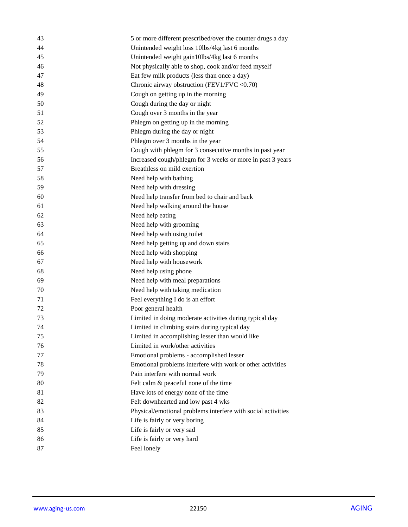| 43<br>5 or more different prescribed/over the counter drugs a day  |  |
|--------------------------------------------------------------------|--|
| 44<br>Unintended weight loss 10lbs/4kg last 6 months               |  |
| 45<br>Unintended weight gain10lbs/4kg last 6 months                |  |
| Not physically able to shop, cook and/or feed myself<br>46         |  |
| 47<br>Eat few milk products (less than once a day)                 |  |
| Chronic airway obstruction (FEV1/FVC <0.70)<br>48                  |  |
| Cough on getting up in the morning<br>49                           |  |
| 50<br>Cough during the day or night                                |  |
| 51<br>Cough over 3 months in the year                              |  |
| 52<br>Phlegm on getting up in the morning                          |  |
| 53<br>Phlegm during the day or night                               |  |
| 54<br>Phlegm over 3 months in the year                             |  |
| 55<br>Cough with phlegm for 3 consecutive months in past year      |  |
| 56<br>Increased cough/phlegm for 3 weeks or more in past 3 years   |  |
| 57<br>Breathless on mild exertion                                  |  |
| 58<br>Need help with bathing                                       |  |
| 59<br>Need help with dressing                                      |  |
| 60<br>Need help transfer from bed to chair and back                |  |
| 61<br>Need help walking around the house                           |  |
| 62<br>Need help eating                                             |  |
| Need help with grooming<br>63                                      |  |
| Need help with using toilet<br>64                                  |  |
| Need help getting up and down stairs<br>65                         |  |
| Need help with shopping<br>66                                      |  |
| Need help with housework<br>67                                     |  |
| 68<br>Need help using phone                                        |  |
| 69<br>Need help with meal preparations                             |  |
| 70<br>Need help with taking medication                             |  |
| 71<br>Feel everything I do is an effort                            |  |
| Poor general health<br>72                                          |  |
| Limited in doing moderate activities during typical day<br>73      |  |
| Limited in climbing stairs during typical day<br>74                |  |
| 75<br>Limited in accomplishing lesser than would like              |  |
| Limited in work/other activities<br>76                             |  |
| 77<br>Emotional problems - accomplished lesser                     |  |
| 78<br>Emotional problems interfere with work or other activities   |  |
| Pain interfere with normal work<br>79                              |  |
| 80<br>Felt calm & peaceful none of the time                        |  |
| 81<br>Have lots of energy none of the time                         |  |
| Felt downhearted and low past 4 wks<br>82                          |  |
| 83<br>Physical/emotional problems interfere with social activities |  |
| 84<br>Life is fairly or very boring                                |  |
| 85<br>Life is fairly or very sad                                   |  |
| 86<br>Life is fairly or very hard                                  |  |
| 87<br>Feel lonely                                                  |  |